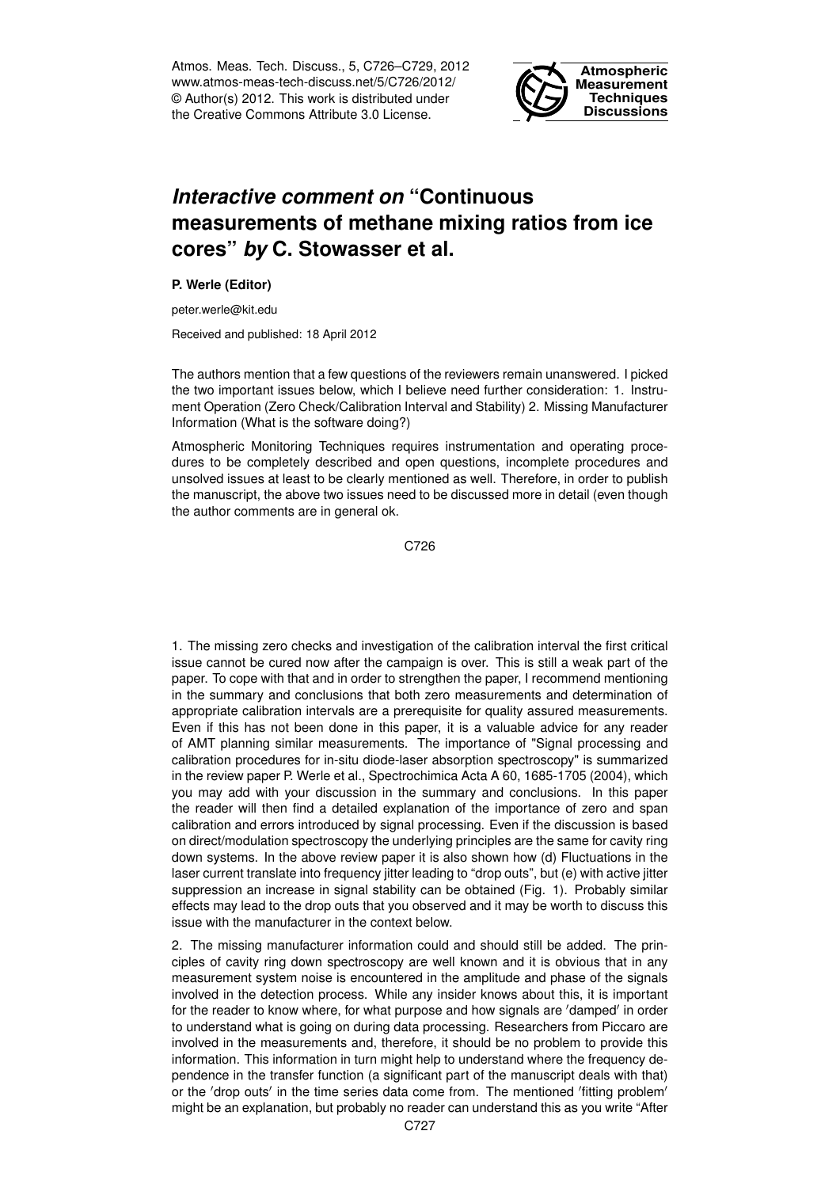Atmos. Meas. Tech. Discuss., 5, C726–C729, 2012 www.atmos-meas-tech-discuss.net/5/C726/2012/ © Author(s) 2012. This work is distributed under the Creative Commons Attribute 3.0 License.



## *Interactive comment on* **"Continuous measurements of methane mixing ratios from ice cores"** *by* **C. Stowasser et al.**

**P. Werle (Editor)**

peter.werle@kit.edu

Received and published: 18 April 2012

The authors mention that a few questions of the reviewers remain unanswered. I picked the two important issues below, which I believe need further consideration: 1. Instrument Operation (Zero Check/Calibration Interval and Stability) 2. Missing Manufacturer Information (What is the software doing?)

Atmospheric Monitoring Techniques requires instrumentation and operating procedures to be completely described and open questions, incomplete procedures and unsolved issues at least to be clearly mentioned as well. Therefore, in order to publish the manuscript, the above two issues need to be discussed more in detail (even though the author comments are in general ok.

C726

1. The missing zero checks and investigation of the calibration interval the first critical issue cannot be cured now after the campaign is over. This is still a weak part of the paper. To cope with that and in order to strengthen the paper, I recommend mentioning in the summary and conclusions that both zero measurements and determination of appropriate calibration intervals are a prerequisite for quality assured measurements. Even if this has not been done in this paper, it is a valuable advice for any reader of AMT planning similar measurements. The importance of "Signal processing and calibration procedures for in-situ diode-laser absorption spectroscopy" is summarized in the review paper P. Werle et al., Spectrochimica Acta A 60, 1685-1705 (2004), which you may add with your discussion in the summary and conclusions. In this paper the reader will then find a detailed explanation of the importance of zero and span calibration and errors introduced by signal processing. Even if the discussion is based on direct/modulation spectroscopy the underlying principles are the same for cavity ring down systems. In the above review paper it is also shown how (d) Fluctuations in the laser current translate into frequency jitter leading to "drop outs", but (e) with active jitter suppression an increase in signal stability can be obtained (Fig. 1). Probably similar effects may lead to the drop outs that you observed and it may be worth to discuss this issue with the manufacturer in the context below.

2. The missing manufacturer information could and should still be added. The principles of cavity ring down spectroscopy are well known and it is obvious that in any measurement system noise is encountered in the amplitude and phase of the signals involved in the detection process. While any insider knows about this, it is important for the reader to know where, for what purpose and how signals are 'damped' in order to understand what is going on during data processing. Researchers from Piccaro are involved in the measurements and, therefore, it should be no problem to provide this information. This information in turn might help to understand where the frequency dependence in the transfer function (a significant part of the manuscript deals with that) or the 'drop outs' in the time series data come from. The mentioned 'fitting problem' might be an explanation, but probably no reader can understand this as you write "After